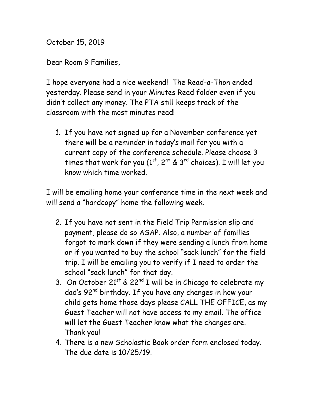October 15, 2019

Dear Room 9 Families,

I hope everyone had a nice weekend! The Read-a-Thon ended yesterday. Please send in your Minutes Read folder even if you didn't collect any money. The PTA still keeps track of the classroom with the most minutes read!

1. If you have not signed up for a November conference yet there will be a reminder in today's mail for you with a current copy of the conference schedule. Please choose 3 times that work for you  $(1^{st}, 2^{nd} \& 3^{rd}$  choices). I will let you know which time worked.

I will be emailing home your conference time in the next week and will send a "hardcopy" home the following week.

- 2. If you have not sent in the Field Trip Permission slip and payment, please do so ASAP. Also, a number of families forgot to mark down if they were sending a lunch from home or if you wanted to buy the school "sack lunch" for the field trip. I will be emailing you to verify if I need to order the school "sack lunch" for that day.
- 3. On October  $21^{st}$  &  $22^{nd}$  I will be in Chicago to celebrate my dad's 92<sup>nd</sup> birthday. If you have any changes in how your child gets home those days please CALL THE OFFICE, as my Guest Teacher will not have access to my email. The office will let the Guest Teacher know what the changes are. Thank you!
- 4. There is a new Scholastic Book order form enclosed today. The due date is 10/25/19.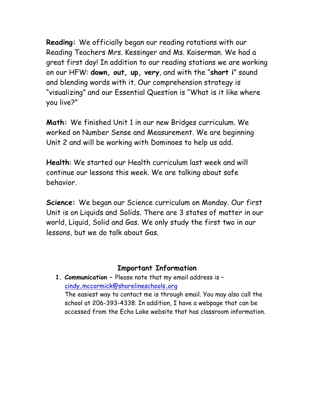**Reading:** We officially began our reading rotations with our Reading Teachers Mrs. Kessinger and Ms. Kaiserman. We had a great first day! In addition to our reading stations we are working on our HFW: **down, out, up, very**, and with the "**short i**" sound and blending words with it. Our comprehension strategy is "visualizing" and our Essential Question is "What is it like where you live?"

**Math:** We finished Unit 1 in our new Bridges curriculum. We worked on Number Sense and Measurement. We are beginning Unit 2 and will be working with Dominoes to help us add.

**Health**: We started our Health curriculum last week and will continue our lessons this week. We are talking about safe behavior.

**Science:** We began our Science curriculum on Monday. Our first Unit is on Liquids and Solids. There are 3 states of matter in our world, Liquid, Solid and Gas. We only study the first two in our lessons, but we do talk about Gas.

## **Important Information**

**1. Communication –** Please note that my email address is – cindy**.**mccormick@shorelineschools**.**org The easiest way to contact me is through email. You may also call the school at 206-393-4338. In addition, I have a webpage that can be accessed from the Echo Lake website that has classroom information.